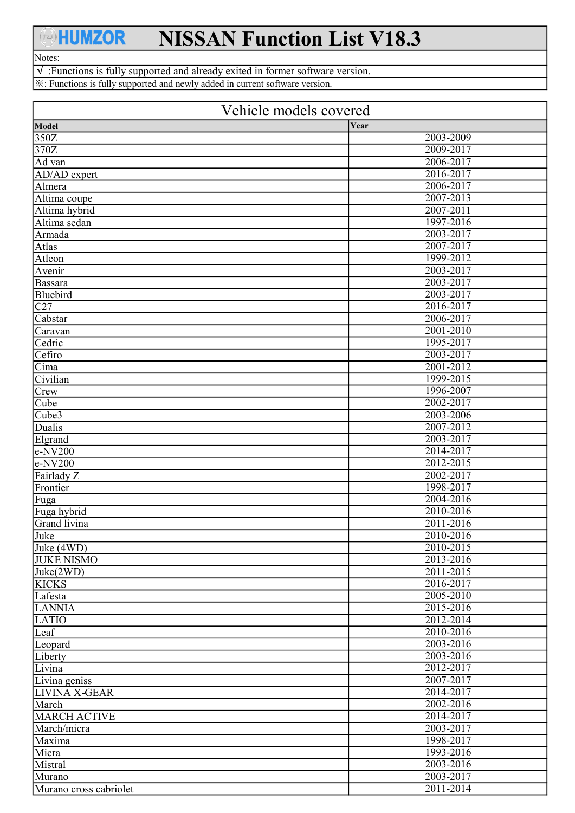## **AHUMZOR**

## NISSAN Function List V18.3

## Notes:

√ :Functions is fully supported and already exited in former software version. ※: Functions is fully supported and newly added in current software version.

| Vehicle models covered |           |
|------------------------|-----------|
| Model                  | Year      |
| 350Z                   | 2003-2009 |
| 370Z                   | 2009-2017 |
| Ad van                 | 2006-2017 |
| AD/AD expert           | 2016-2017 |
| Almera                 | 2006-2017 |
| Altima coupe           | 2007-2013 |
| Altima hybrid          | 2007-2011 |
| Altima sedan           | 1997-2016 |
| Armada                 | 2003-2017 |
| Atlas                  | 2007-2017 |
| Atleon                 | 1999-2012 |
| Avenir                 | 2003-2017 |
| Bassara                | 2003-2017 |
| Bluebird               | 2003-2017 |
| C27                    | 2016-2017 |
| Cabstar                | 2006-2017 |
| Caravan                | 2001-2010 |
| Cedric                 | 1995-2017 |
| Cefiro                 | 2003-2017 |
| Cima                   | 2001-2012 |
| Civilian               | 1999-2015 |
| Crew                   | 1996-2007 |
| Cube                   | 2002-2017 |
| Cube3                  | 2003-2006 |
| Dualis                 | 2007-2012 |
| Elgrand                | 2003-2017 |
| $e$ -NV200             | 2014-2017 |
| $e$ -NV200             | 2012-2015 |
| Fairlady Z             | 2002-2017 |
| Frontier               | 1998-2017 |
| Fuga                   | 2004-2016 |
| Fuga hybrid            | 2010-2016 |
| Grand livina           | 2011-2016 |
| Juke                   | 2010-2016 |
| Juke (4WD)             | 2010-2015 |
| <b>JUKE NISMO</b>      | 2013-2016 |
| Juke(2WD)              | 2011-2015 |
| <b>KICKS</b>           | 2016-2017 |
| Lafesta                | 2005-2010 |
| <b>LANNIA</b>          | 2015-2016 |
| <b>LATIO</b>           | 2012-2014 |
| Leaf                   | 2010-2016 |
| Leopard                | 2003-2016 |
| Liberty                | 2003-2016 |
| Livina                 | 2012-2017 |
| Livina geniss          | 2007-2017 |
| LIVINA X-GEAR          | 2014-2017 |
| March                  | 2002-2016 |
| <b>MARCH ACTIVE</b>    | 2014-2017 |
| March/micra            | 2003-2017 |
| Maxima                 | 1998-2017 |
| Micra                  | 1993-2016 |
| Mistral                | 2003-2016 |
| Murano                 | 2003-2017 |
| Murano cross cabriolet | 2011-2014 |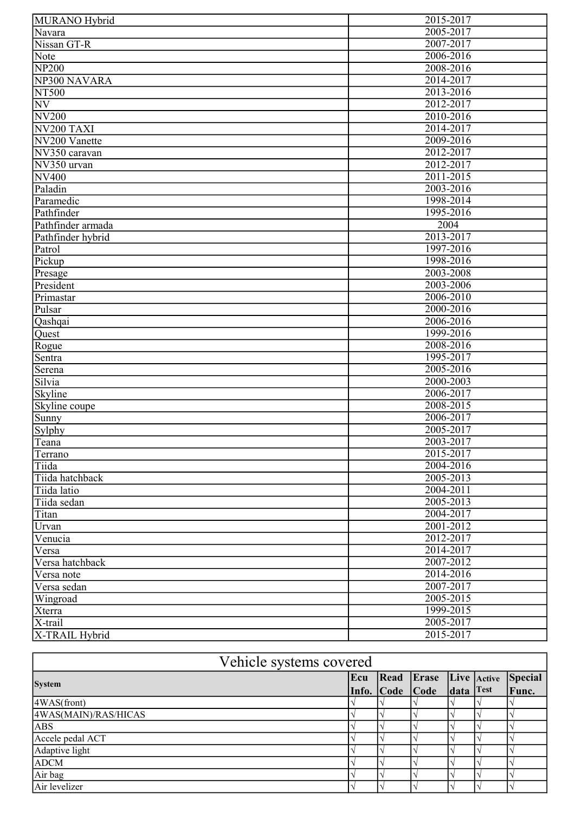| MURANO Hybrid          | 2015-2017 |
|------------------------|-----------|
| Navara                 | 2005-2017 |
| Nissan GT-R            | 2007-2017 |
| Note                   | 2006-2016 |
| <b>NP200</b>           | 2008-2016 |
| NP300 NAVARA           | 2014-2017 |
| NT500                  | 2013-2016 |
| <b>NV</b>              | 2012-2017 |
| <b>NV200</b>           | 2010-2016 |
| NV <sub>200</sub> TAXI | 2014-2017 |
| NV200 Vanette          | 2009-2016 |
| NV350 caravan          | 2012-2017 |
| NV350 urvan            | 2012-2017 |
| <b>NV400</b>           | 2011-2015 |
| Paladin                | 2003-2016 |
|                        | 1998-2014 |
| Paramedic              |           |
| Pathfinder             | 1995-2016 |
| Pathfinder armada      | 2004      |
| Pathfinder hybrid      | 2013-2017 |
| Patrol                 | 1997-2016 |
| Pickup                 | 1998-2016 |
| Presage                | 2003-2008 |
| President              | 2003-2006 |
| Primastar              | 2006-2010 |
| Pulsar                 | 2000-2016 |
| Qashqai                | 2006-2016 |
| Quest                  | 1999-2016 |
| Rogue                  | 2008-2016 |
| Sentra                 | 1995-2017 |
| Serena                 | 2005-2016 |
| Silvia                 | 2000-2003 |
| <b>Skyline</b>         | 2006-2017 |
| Skyline coupe          | 2008-2015 |
| Sunny                  | 2006-2017 |
| Sylphy                 | 2005-2017 |
| Teana                  | 2003-2017 |
| Terrano                | 2015-2017 |
| Tiida                  | 2004-2016 |
| Tiida hatchback        | 2005-2013 |
| Tiida latio            | 2004-2011 |
| Tiida sedan            | 2005-2013 |
| Titan                  | 2004-2017 |
| Urvan                  | 2001-2012 |
| Venucia                | 2012-2017 |
| Versa                  | 2014-2017 |
| Versa hatchback        | 2007-2012 |
| Versa note             | 2014-2016 |
| Versa sedan            | 2007-2017 |
| Wingroad               | 2005-2015 |
| Xterra                 | 1999-2015 |
| X-trail                | 2005-2017 |
| X-TRAIL Hybrid         | 2015-2017 |

| Vehicle systems covered |  |                            |  |                |
|-------------------------|--|----------------------------|--|----------------|
| <b>System</b>           |  | Ecu Read Erase Live Active |  | <b>Special</b> |
|                         |  | Info. Code Code data Test  |  | Func.          |
| $4WAS$ (front)          |  |                            |  |                |
| 4WAS(MAIN)/RAS/HICAS    |  |                            |  |                |
| <b>ABS</b>              |  |                            |  |                |
| Accele pedal ACT        |  |                            |  |                |
| Adaptive light          |  |                            |  |                |
| <b>ADCM</b>             |  |                            |  |                |
| Air bag                 |  |                            |  |                |
| Air levelizer           |  |                            |  |                |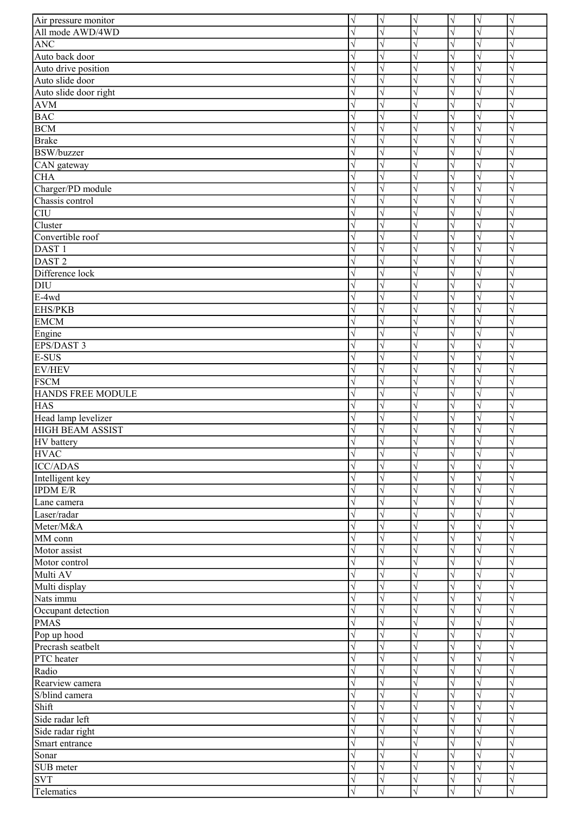| Air pressure monitor    | $\sqrt{}$  | $\lvert \sqrt$        | $\sqrt{}$ | V         | $\sqrt{}$  | $\sqrt{}$ |
|-------------------------|------------|-----------------------|-----------|-----------|------------|-----------|
| All mode AWD/4WD        |            | J                     |           |           | N          |           |
| <b>ANC</b>              | $\sqrt{}$  | $\sqrt{ }$            |           |           | $\sqrt{2}$ |           |
| Auto back door          |            | $\sqrt{2}$            |           |           | $\sqrt{2}$ |           |
| Auto drive position     |            | $\sqrt{ }$            |           |           | N          |           |
| Auto slide door         | V          | $\sqrt{ }$            |           |           | $\sqrt{}$  |           |
| Auto slide door right   |            | $\sqrt{}$             |           |           | N          |           |
| $\mathbf{AVM}$          | V          | $\sqrt{}$             |           |           | N          |           |
| <b>BAC</b>              | $\sqrt{}$  | $\sqrt{}$             |           |           | N          |           |
| <b>BCM</b>              |            | N                     |           |           | N          |           |
| <b>Brake</b>            | V          | $\sqrt{ }$            |           |           | V          |           |
| <b>BSW/buzzer</b>       |            | $\sqrt{ }$            |           |           | N          |           |
|                         |            | $\sqrt{}$             |           |           | N          |           |
| CAN gateway             |            |                       |           |           |            |           |
| CHA                     | V          | $\sqrt{}$             |           |           | N          |           |
| Charger/PD module       | $\sqrt{}$  | $\sqrt{}$             |           |           | N          |           |
| Chassis control         | $\sqrt{}$  | $\sqrt{}$             |           |           | N          |           |
| <b>CIU</b>              | $\sqrt{ }$ | $\sqrt{ }$            |           |           | N          |           |
| Cluster                 | $\sqrt{}$  | $\sqrt{ }$            |           |           | N          |           |
| Convertible roof        | $\sqrt{}$  | $\sqrt{}$             |           |           | $\sqrt{}$  |           |
| DAST <sub>1</sub>       | V          | $\sqrt{}$             |           |           | N          |           |
| DAST <sub>2</sub>       | $\sqrt{}$  | $\sqrt{}$             |           |           | $\sqrt{2}$ |           |
| Difference lock         | $\sqrt{}$  | $\sqrt{}$             |           | $\sqrt{}$ | N          |           |
| <b>DIU</b>              | $\sqrt{}$  | $\sqrt{}$             |           | $\sqrt{}$ | N          |           |
| E-4wd                   | $\sqrt{}$  | $\overline{\sqrt{} }$ |           |           | $\sqrt{}$  |           |
| <b>EHS/PKB</b>          | $\sqrt{}$  | $\sqrt{ }$            |           |           | $\sqrt{}$  |           |
| <b>EMCM</b>             | $\sqrt{}$  | $\sqrt{ }$            |           |           | N          |           |
| Engine                  | $\sqrt{}$  | $\sqrt{ }$            |           |           | N          |           |
| EPS/DAST 3              | $\sqrt{}$  | $\sqrt{ }$            |           |           | $\sqrt{2}$ |           |
| E-SUS                   |            | $\sqrt{2}$            |           |           | N          |           |
|                         |            |                       |           |           |            |           |
| EV/HEV                  | $\sqrt{}$  | $\sqrt{ }$            |           |           | N          |           |
| <b>FSCM</b>             |            | $\sqrt{2}$            |           |           | $\sqrt{2}$ |           |
| HANDS FREE MODULE       | V          | $\sqrt{ }$            |           |           | $\sqrt{}$  |           |
| <b>HAS</b>              | V          | $\sqrt{}$             |           |           | N          |           |
| Head lamp levelizer     | $\sqrt{}$  | $\sqrt{}$             |           |           | $\sqrt{2}$ |           |
| <b>HIGH BEAM ASSIST</b> | $\sqrt{}$  | $\sqrt{}$             | V         | V         | $\sqrt{}$  | V         |
| HV battery              |            | $\overline{\sqrt{ }}$ |           |           | $\sqrt{}$  |           |
| <b>HVAC</b>             | $\sqrt{}$  | $\lvert \sqrt$        | $\sqrt{}$ | $\sqrt{}$ | $\sqrt{}$  | $\sqrt{}$ |
| <b>ICC/ADAS</b>         | V          | $\sqrt{ }$            |           |           | $\sqrt{}$  |           |
| Intelligent key         | V          | $\sqrt{}$             |           |           | N          |           |
| <b>IPDM E/R</b>         | $\sqrt{}$  | $\sqrt{}$             |           |           | N          |           |
| Lane camera             |            | $\sqrt{}$             |           |           |            |           |
| Laser/radar             |            | $\sqrt{}$             |           |           | N          |           |
| Meter/M&A               |            | $\sqrt{}$             |           |           | N          |           |
| MM conn                 |            | $\sqrt{2}$            |           |           |            |           |
| Motor assist            | V          | $\sqrt{}$             |           |           | N          |           |
| Motor control           | V          | $\sqrt{}$             |           |           | N          |           |
| Multi AV                | $\sqrt{}$  | $\sqrt{}$             |           |           |            |           |
|                         |            |                       |           |           | N          |           |
| Multi display           | V          | $\sqrt{ }$            |           |           | V          |           |
| Nats immu               | V          | $\sqrt{}$             |           |           | V          |           |
| Occupant detection      | $\sqrt{}$  | $\sqrt{}$             |           |           | V          |           |
| <b>PMAS</b>             | V          | $\sqrt{}$             |           |           | N          |           |
| Pop up hood             | $\sqrt{}$  | $\sqrt{}$             |           |           | N          |           |
| Precrash seatbelt       | $\sqrt{}$  | $\sqrt{}$             |           |           | N          |           |
| PTC heater              | $\sqrt{}$  | $\sqrt{}$             |           |           | N          |           |
| Radio                   |            | $\sqrt{ }$            |           |           | $\sqrt{}$  |           |
| Rearview camera         |            | $\sqrt{}$             |           |           | N          |           |
| S/blind camera          | V          | $\sqrt{}$             |           |           | $\sqrt{}$  |           |
| Shift                   | $\sqrt{}$  | $\sqrt{ }$            |           |           | $\sqrt{}$  |           |
| Side radar left         | $\sqrt{}$  | $\sqrt{}$             |           |           | $\sqrt{}$  |           |
| Side radar right        | $\sqrt{}$  | $\sqrt{}$             |           | $\sqrt{}$ | V          |           |
| Smart entrance          | V          | $\sqrt{}$             |           |           | V          |           |
| Sonar                   | V          | $\sqrt{ }$            |           |           | $\sqrt{}$  |           |
| SUB meter               | V          | $\sqrt{}$             |           |           | $\sqrt{}$  |           |
| <b>SVT</b>              | V          | $\sqrt{}$             |           |           | N          |           |
| Telematics              |            | $\sqrt{ }$            |           |           | N          | J         |
|                         |            |                       |           |           |            |           |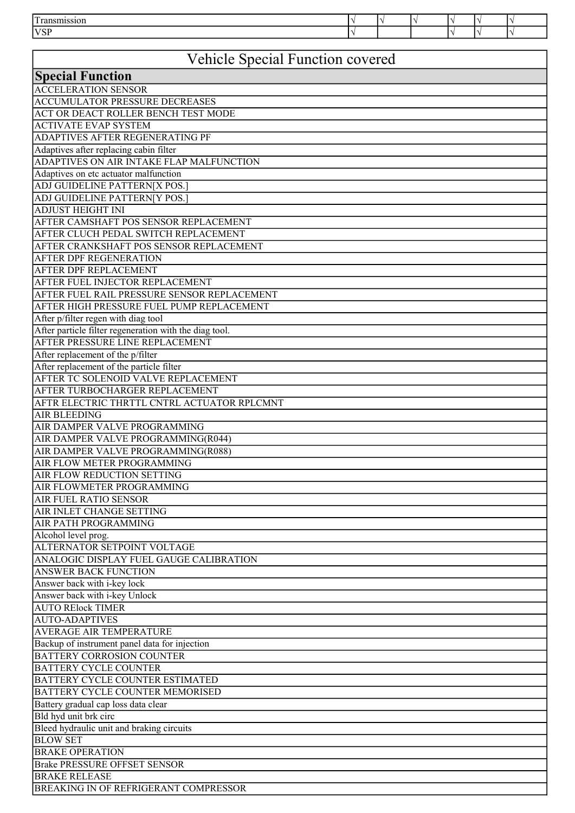| $\mathbf{r}$ |  |  |  |
|--------------|--|--|--|
| <b>N/CI</b>  |  |  |  |

## Vehicle Special Function covered

| Vehicle Special Function covered                       |
|--------------------------------------------------------|
| <b>Special Function</b>                                |
| <b>ACCELERATION SENSOR</b>                             |
| <b>ACCUMULATOR PRESSURE DECREASES</b>                  |
| ACT OR DEACT ROLLER BENCH TEST MODE                    |
| <b>ACTIVATE EVAP SYSTEM</b>                            |
| ADAPTIVES AFTER REGENERATING PF                        |
| Adaptives after replacing cabin filter                 |
| ADAPTIVES ON AIR INTAKE FLAP MALFUNCTION               |
| Adaptives on etc actuator malfunction                  |
| ADJ GUIDELINE PATTERN[X POS.]                          |
| ADJ GUIDELINE PATTERN[Y POS.]                          |
| <b>ADJUST HEIGHT INI</b>                               |
| AFTER CAMSHAFT POS SENSOR REPLACEMENT                  |
| AFTER CLUCH PEDAL SWITCH REPLACEMENT                   |
| AFTER CRANKSHAFT POS SENSOR REPLACEMENT                |
| AFTER DPF REGENERATION                                 |
| AFTER DPF REPLACEMENT                                  |
| AFTER FUEL INJECTOR REPLACEMENT                        |
| AFTER FUEL RAIL PRESSURE SENSOR REPLACEMENT            |
| AFTER HIGH PRESSURE FUEL PUMP REPLACEMENT              |
| After p/filter regen with diag tool                    |
| After particle filter regeneration with the diag tool. |
| AFTER PRESSURE LINE REPLACEMENT                        |
| After replacement of the p/filter                      |
| After replacement of the particle filter               |
| AFTER TC SOLENOID VALVE REPLACEMENT                    |
| AFTER TURBOCHARGER REPLACEMENT                         |
| AFTR ELECTRIC THRTTL CNTRL ACTUATOR RPLCMNT            |
| <b>AIR BLEEDING</b>                                    |
| AIR DAMPER VALVE PROGRAMMING                           |
| AIR DAMPER VALVE PROGRAMMING(R044)                     |
| AIR DAMPER VALVE PROGRAMMING(R088)                     |
| AIR FLOW METER PROGRAMMING                             |
| AIR FLOW REDUCTION SETTING                             |
| AIR FLOWMETER PROGRAMMING                              |
| <b>AIR FUEL RATIO SENSOR</b>                           |
| AIR INLET CHANGE SETTING                               |
| AIR PATH PROGRAMMING                                   |
| Alcohol level prog.                                    |
| ALTERNATOR SETPOINT VOLTAGE                            |
| ANALOGIC DISPLAY FUEL GAUGE CALIBRATION                |
| <b>ANSWER BACK FUNCTION</b>                            |
| Answer back with i-key lock                            |
| Answer back with i-key Unlock                          |
| <b>AUTO RElock TIMER</b>                               |
| <b>AUTO-ADAPTIVES</b>                                  |
| AVERAGE AIR TEMPERATURE                                |
| Backup of instrument panel data for injection          |
| <b>BATTERY CORROSION COUNTER</b>                       |
| <b>BATTERY CYCLE COUNTER</b>                           |
| BATTERY CYCLE COUNTER ESTIMATED                        |
| BATTERY CYCLE COUNTER MEMORISED                        |
| Battery gradual cap loss data clear                    |
| Bld hyd unit brk circ                                  |
| Bleed hydraulic unit and braking circuits              |
| <b>BLOW SET</b>                                        |
| <b>BRAKE OPERATION</b>                                 |
| <b>Brake PRESSURE OFFSET SENSOR</b>                    |
| <b>BRAKE RELEASE</b>                                   |
| BREAKING IN OF REFRIGERANT COMPRESSOR                  |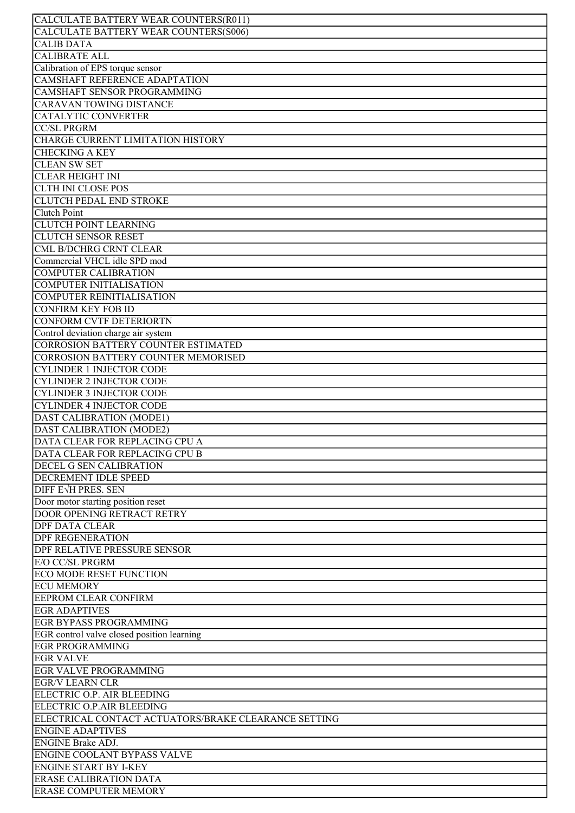| CALCULATE BATTERY WEAR COUNTERS(R011)                |
|------------------------------------------------------|
| CALCULATE BATTERY WEAR COUNTERS(S006)                |
| <b>CALIB DATA</b>                                    |
|                                                      |
| <b>CALIBRATE ALL</b>                                 |
| Calibration of EPS torque sensor                     |
| CAMSHAFT REFERENCE ADAPTATION                        |
|                                                      |
| CAMSHAFT SENSOR PROGRAMMING                          |
| CARAVAN TOWING DISTANCE                              |
| CATALYTIC CONVERTER                                  |
|                                                      |
| <b>CC/SL PRGRM</b>                                   |
| CHARGE CURRENT LIMITATION HISTORY                    |
| <b>CHECKING A KEY</b>                                |
|                                                      |
| <b>CLEAN SW SET</b>                                  |
| <b>CLEAR HEIGHT INI</b>                              |
| <b>CLTH INI CLOSE POS</b>                            |
|                                                      |
| <b>CLUTCH PEDAL END STROKE</b>                       |
| <b>Clutch Point</b>                                  |
| <b>CLUTCH POINT LEARNING</b>                         |
|                                                      |
| <b>CLUTCH SENSOR RESET</b>                           |
| CML B/DCHRG CRNT CLEAR                               |
| Commercial VHCL idle SPD mod                         |
|                                                      |
| <b>COMPUTER CALIBRATION</b>                          |
| <b>COMPUTER INITIALISATION</b>                       |
| <b>COMPUTER REINITIALISATION</b>                     |
|                                                      |
| <b>CONFIRM KEY FOB ID</b>                            |
| CONFORM CVTF DETERIORTN                              |
|                                                      |
| Control deviation charge air system                  |
| <b>CORROSION BATTERY COUNTER ESTIMATED</b>           |
| CORROSION BATTERY COUNTER MEMORISED                  |
|                                                      |
| <b>CYLINDER 1 INJECTOR CODE</b>                      |
| <b>CYLINDER 2 INJECTOR CODE</b>                      |
| <b>CYLINDER 3 INJECTOR CODE</b>                      |
|                                                      |
| <b>CYLINDER 4 INJECTOR CODE</b>                      |
| DAST CALIBRATION (MODE1)                             |
| <b>DAST CALIBRATION (MODE2)</b>                      |
|                                                      |
| <b>DATA CLEAR FOR REPLACING CPU A</b>                |
| DATA CLEAR FOR REPLACING CPU B                       |
| DECEL G SEN CALIBRATION                              |
|                                                      |
| DECREMENT IDLE SPEED                                 |
| DIFF EVH PRES. SEN                                   |
| Door motor starting position reset                   |
|                                                      |
| <b>DOOR OPENING RETRACT RETRY</b>                    |
| <b>DPF DATA CLEAR</b>                                |
| <b>DPF REGENERATION</b>                              |
|                                                      |
| DPF RELATIVE PRESSURE SENSOR                         |
| <b>E/O CC/SL PRGRM</b>                               |
| <b>ECO MODE RESET FUNCTION</b>                       |
|                                                      |
| <b>ECU MEMORY</b>                                    |
| <b>EEPROM CLEAR CONFIRM</b>                          |
| <b>EGR ADAPTIVES</b>                                 |
|                                                      |
| <b>EGR BYPASS PROGRAMMING</b>                        |
| EGR control valve closed position learning           |
| <b>EGR PROGRAMMING</b>                               |
|                                                      |
| <b>EGR VALVE</b>                                     |
| <b>EGR VALVE PROGRAMMING</b>                         |
| <b>EGR/V LEARN CLR</b>                               |
|                                                      |
| ELECTRIC O.P. AIR BLEEDING                           |
| ELECTRIC O.P.AIR BLEEDING                            |
| ELECTRICAL CONTACT ACTUATORS/BRAKE CLEARANCE SETTING |
|                                                      |
| <b>ENGINE ADAPTIVES</b>                              |
| <b>ENGINE Brake ADJ.</b>                             |
| <b>ENGINE COOLANT BYPASS VALVE</b>                   |
|                                                      |
| <b>ENGINE START BY I-KEY</b>                         |
| <b>ERASE CALIBRATION DATA</b>                        |
| <b>ERASE COMPUTER MEMORY</b>                         |
|                                                      |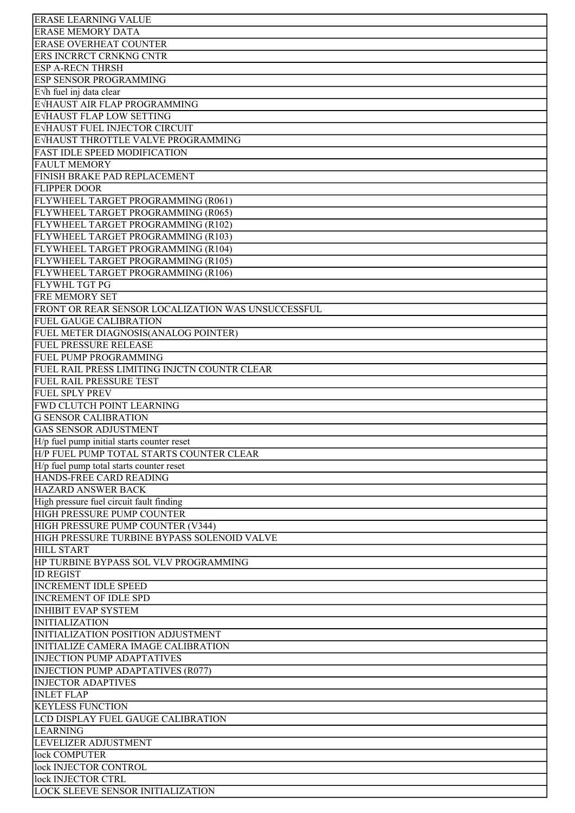| <b>ERASE LEARNING VALUE</b>                                                  |
|------------------------------------------------------------------------------|
| <b>ERASE MEMORY DATA</b>                                                     |
| <b>ERASE OVERHEAT COUNTER</b>                                                |
| ERS INCRRCT CRNKNG CNTR                                                      |
| <b>ESP A-RECN THRSH</b>                                                      |
| <b>ESP SENSOR PROGRAMMING</b>                                                |
| E Vh fuel inj data clear                                                     |
| EVHAUST AIR FLAP PROGRAMMING                                                 |
| EVHAUST FLAP LOW SETTING                                                     |
| EVHAUST FUEL INJECTOR CIRCUIT                                                |
| EVHAUST THROTTLE VALVE PROGRAMMING                                           |
| <b>FAST IDLE SPEED MODIFICATION</b>                                          |
| <b>FAULT MEMORY</b>                                                          |
| FINISH BRAKE PAD REPLACEMENT                                                 |
| <b>FLIPPER DOOR</b>                                                          |
| FLYWHEEL TARGET PROGRAMMING (R061)                                           |
| FLYWHEEL TARGET PROGRAMMING (R065)                                           |
| FLYWHEEL TARGET PROGRAMMING (R102)                                           |
| FLYWHEEL TARGET PROGRAMMING (R103)                                           |
| FLYWHEEL TARGET PROGRAMMING (R104)                                           |
| FLYWHEEL TARGET PROGRAMMING (R105)                                           |
| FLYWHEEL TARGET PROGRAMMING (R106)                                           |
| <b>FLYWHL TGT PG</b>                                                         |
| <b>FRE MEMORY SET</b>                                                        |
| FRONT OR REAR SENSOR LOCALIZATION WAS UNSUCCESSFUL                           |
| <b>FUEL GAUGE CALIBRATION</b>                                                |
| FUEL METER DIAGNOSIS(ANALOG POINTER)                                         |
| <b>FUEL PRESSURE RELEASE</b>                                                 |
| <b>FUEL PUMP PROGRAMMING</b><br>FUEL RAIL PRESS LIMITING INJCTN COUNTR CLEAR |
| FUEL RAIL PRESSURE TEST                                                      |
| <b>FUEL SPLY PREV</b>                                                        |
| FWD CLUTCH POINT LEARNING                                                    |
| <b>G SENSOR CALIBRATION</b>                                                  |
| <b>GAS SENSOR ADJUSTMENT</b>                                                 |
| H/p fuel pump initial starts counter reset                                   |
| H/P FUEL PUMP TOTAL STARTS COUNTER CLEAR                                     |
| H/p fuel pump total starts counter reset                                     |
| HANDS-FREE CARD READING                                                      |
| <b>HAZARD ANSWER BACK</b>                                                    |
| High pressure fuel circuit fault finding                                     |
| HIGH PRESSURE PUMP COUNTER                                                   |
| HIGH PRESSURE PUMP COUNTER (V344)                                            |
| HIGH PRESSURE TURBINE BYPASS SOLENOID VALVE                                  |
| <b>HILL START</b>                                                            |
| HP TURBINE BYPASS SOL VLV PROGRAMMING                                        |
| <b>ID REGIST</b>                                                             |
| <b>INCREMENT IDLE SPEED</b>                                                  |
| <b>INCREMENT OF IDLE SPD</b>                                                 |
| <b>INHIBIT EVAP SYSTEM</b>                                                   |
| <b>INITIALIZATION</b>                                                        |
| INITIALIZATION POSITION ADJUSTMENT                                           |
| INITIALIZE CAMERA IMAGE CALIBRATION                                          |
| <b>INJECTION PUMP ADAPTATIVES</b>                                            |
| <b>INJECTION PUMP ADAPTATIVES (R077)</b>                                     |
| <b>INJECTOR ADAPTIVES</b>                                                    |
| <b>INLET FLAP</b>                                                            |
| <b>KEYLESS FUNCTION</b>                                                      |
| LCD DISPLAY FUEL GAUGE CALIBRATION                                           |
| <b>LEARNING</b>                                                              |
| LEVELIZER ADJUSTMENT                                                         |
| lock COMPUTER<br>lock INJECTOR CONTROL                                       |
| lock INJECTOR CTRL                                                           |
| <b>LOCK SLEEVE SENSOR INITIALIZATION</b>                                     |
|                                                                              |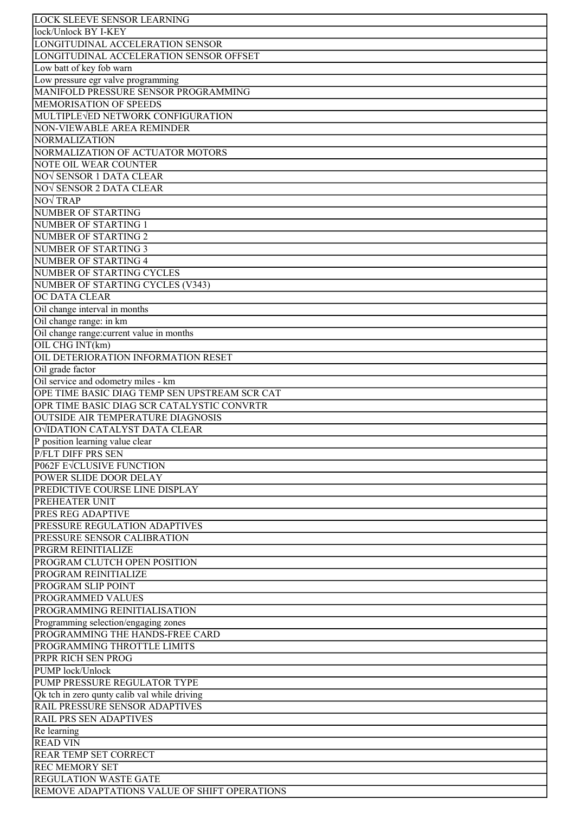| <b>LOCK SLEEVE SENSOR LEARNING</b>            |
|-----------------------------------------------|
| lock/Unlock BY I-KEY                          |
| LONGITUDINAL ACCELERATION SENSOR              |
| LONGITUDINAL ACCELERATION SENSOR OFFSET       |
| Low batt of key fob warn                      |
| Low pressure egr valve programming            |
| MANIFOLD PRESSURE SENSOR PROGRAMMING          |
|                                               |
| MEMORISATION OF SPEEDS                        |
| MULTIPLEVED NETWORK CONFIGURATION             |
| NON-VIEWABLE AREA REMINDER                    |
| NORMALIZATION                                 |
| NORMALIZATION OF ACTUATOR MOTORS              |
| <b>NOTE OIL WEAR COUNTER</b>                  |
| NO√ SENSOR 1 DATA CLEAR                       |
| NOV SENSOR 2 DATA CLEAR                       |
| <b>NOV TRAP</b>                               |
| <b>NUMBER OF STARTING</b>                     |
| <b>NUMBER OF STARTING 1</b>                   |
| NUMBER OF STARTING 2                          |
| NUMBER OF STARTING 3                          |
| NUMBER OF STARTING 4                          |
| NUMBER OF STARTING CYCLES                     |
| NUMBER OF STARTING CYCLES (V343)              |
| <b>OC DATA CLEAR</b>                          |
|                                               |
| Oil change interval in months                 |
| Oil change range: in km                       |
| Oil change range: current value in months     |
| OIL CHG INT(km)                               |
| OIL DETERIORATION INFORMATION RESET           |
| Oil grade factor                              |
| Oil service and odometry miles - km           |
| OPE TIME BASIC DIAG TEMP SEN UPSTREAM SCR CAT |
| OPR TIME BASIC DIAG SCR CATALYSTIC CONVRTR    |
| OUTSIDE AIR TEMPERATURE DIAGNOSIS             |
| OVIDATION CATALYST DATA CLEAR                 |
| P position learning value clear               |
| P/FLT DIFF PRS SEN                            |
| <b>P062F EVCLUSIVE FUNCTION</b>               |
| <b>POWER SLIDE DOOR DELAY</b>                 |
| PREDICTIVE COURSE LINE DISPLAY                |
| <b>PREHEATER UNIT</b>                         |
| PRES REG ADAPTIVE                             |
| PRESSURE REGULATION ADAPTIVES                 |
| PRESSURE SENSOR CALIBRATION                   |
| <b>PRGRM REINITIALIZE</b>                     |
| PROGRAM CLUTCH OPEN POSITION                  |
|                                               |
| <b>PROGRAM REINITIALIZE</b>                   |
| PROGRAM SLIP POINT                            |
| <b>PROGRAMMED VALUES</b>                      |
| PROGRAMMING REINITIALISATION                  |
| Programming selection/engaging zones          |
| PROGRAMMING THE HANDS-FREE CARD               |
| PROGRAMMING THROTTLE LIMITS                   |
| PRPR RICH SEN PROG                            |
| PUMP lock/Unlock                              |
| PUMP PRESSURE REGULATOR TYPE                  |
| Qk tch in zero qunty calib val while driving  |
| RAIL PRESSURE SENSOR ADAPTIVES                |
| <b>RAIL PRS SEN ADAPTIVES</b>                 |
| Re learning                                   |
| <b>READ VIN</b>                               |
| <b>REAR TEMP SET CORRECT</b>                  |
| <b>REC MEMORY SET</b>                         |
|                                               |
| <b>REGULATION WASTE GATE</b>                  |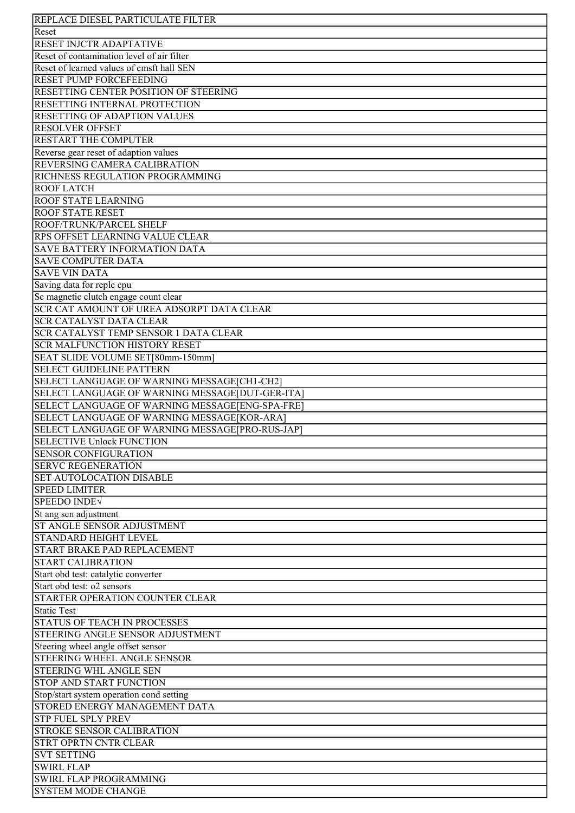| REPLACE DIESEL PARTICULATE FILTER               |
|-------------------------------------------------|
| Reset                                           |
| <b>RESET INJCTR ADAPTATIVE</b>                  |
| Reset of contamination level of air filter      |
| Reset of learned values of cmsft hall SEN       |
| <b>RESET PUMP FORCEFEEDING</b>                  |
| RESETTING CENTER POSITION OF STEERING           |
|                                                 |
| RESETTING INTERNAL PROTECTION                   |
| RESETTING OF ADAPTION VALUES                    |
| <b>RESOLVER OFFSET</b>                          |
| <b>RESTART THE COMPUTER</b>                     |
| Reverse gear reset of adaption values           |
| REVERSING CAMERA CALIBRATION                    |
| RICHNESS REGULATION PROGRAMMING                 |
| <b>ROOF LATCH</b>                               |
| <b>ROOF STATE LEARNING</b>                      |
| <b>ROOF STATE RESET</b>                         |
| ROOF/TRUNK/PARCEL SHELF                         |
| RPS OFFSET LEARNING VALUE CLEAR                 |
| <b>SAVE BATTERY INFORMATION DATA</b>            |
| <b>SAVE COMPUTER DATA</b>                       |
| <b>SAVE VIN DATA</b>                            |
| Saving data for reple cpu                       |
| Sc magnetic clutch engage count clear           |
| SCR CAT AMOUNT OF UREA ADSORPT DATA CLEAR       |
| <b>SCR CATALYST DATA CLEAR</b>                  |
| <b>SCR CATALYST TEMP SENSOR 1 DATA CLEAR</b>    |
| <b>SCR MALFUNCTION HISTORY RESET</b>            |
| SEAT SLIDE VOLUME SET[80mm-150mm]               |
| <b>SELECT GUIDELINE PATTERN</b>                 |
| SELECT LANGUAGE OF WARNING MESSAGE[CH1-CH2]     |
| SELECT LANGUAGE OF WARNING MESSAGE[DUT-GER-ITA] |
| SELECT LANGUAGE OF WARNING MESSAGE[ENG-SPA-FRE] |
| SELECT LANGUAGE OF WARNING MESSAGE[KOR-ARA]     |
| SELECT LANGUAGE OF WARNING MESSAGE[PRO-RUS-JAP] |
| <b>SELECTIVE Unlock FUNCTION</b>                |
| <b>SENSOR CONFIGURATION</b>                     |
| <b>SERVC REGENERATION</b>                       |
| <b>SET AUTOLOCATION DISABLE</b>                 |
| <b>SPEED LIMITER</b>                            |
| <b>SPEEDO INDEV</b>                             |
| St ang sen adjustment                           |
| ST ANGLE SENSOR ADJUSTMENT                      |
| <b>STANDARD HEIGHT LEVEL</b>                    |
| START BRAKE PAD REPLACEMENT                     |
| <b>START CALIBRATION</b>                        |
| Start obd test: catalytic converter             |
| Start obd test: o2 sensors                      |
| STARTER OPERATION COUNTER CLEAR                 |
| Static Test                                     |
| <b>STATUS OF TEACH IN PROCESSES</b>             |
| STEERING ANGLE SENSOR ADJUSTMENT                |
| Steering wheel angle offset sensor              |
| STEERING WHEEL ANGLE SENSOR                     |
| <b>STEERING WHL ANGLE SEN</b>                   |
| STOP AND START FUNCTION                         |
| Stop/start system operation cond setting        |
| STORED ENERGY MANAGEMENT DATA                   |
|                                                 |
| <b>STP FUEL SPLY PREV</b>                       |
| <b>STROKE SENSOR CALIBRATION</b>                |
| <b>STRT OPRTN CNTR CLEAR</b>                    |
| <b>SVT SETTING</b>                              |
| <b>SWIRL FLAP</b>                               |
| SWIRL FLAP PROGRAMMING                          |
| <b>SYSTEM MODE CHANGE</b>                       |